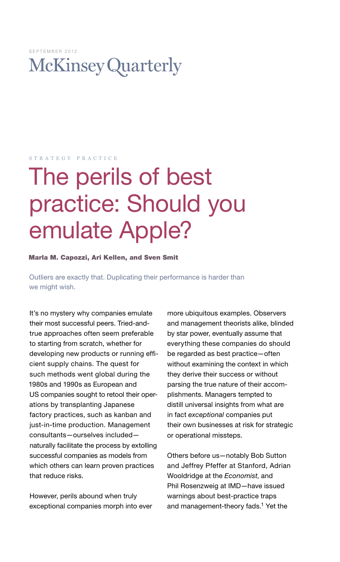# **McKinsey Quarterly**

#### s t r a t e g y p r a c t i c e

# The perils of best practice: Should you emulate Apple?

# Marla M. Capozzi, Ari Kellen, and Sven Smit

Outliers are exactly that. Duplicating their performance is harder than we might wish.

It's no mystery why companies emulate their most successful peers. Tried-andtrue approaches often seem preferable to starting from scratch, whether for developing new products or running efficient supply chains. The quest for such methods went global during the 1980s and 1990s as European and US companies sought to retool their operations by transplanting Japanese factory practices, such as kanban and just-in-time production. Management consultants—ourselves included naturally facilitate the process by extolling successful companies as models from which others can learn proven practices that reduce risks.

However, perils abound when truly exceptional companies morph into ever more ubiquitous examples. Observers and management theorists alike, blinded by star power, eventually assume that everything these companies do should be regarded as best practice—often without examining the context in which they derive their success or without parsing the true nature of their accomplishments. Managers tempted to distill universal insights from what are in fact *exceptional* companies put their own businesses at risk for strategic or operational missteps.

Others before us—notably Bob Sutton and Jeffrey Pfeffer at Stanford, Adrian Wooldridge at the *Economist*, and Phil Rosenzweig at IMD—have issued warnings about best-practice traps and management-theory fads.<sup>1</sup> Yet the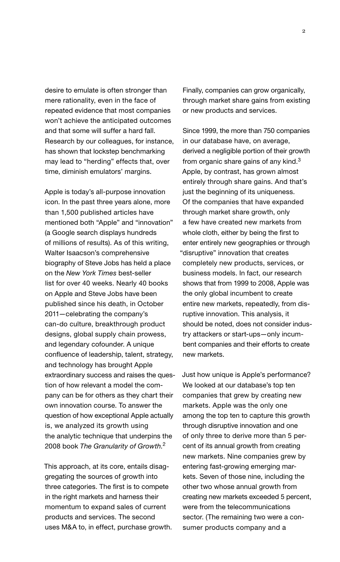desire to emulate is often stronger than mere rationality, even in the face of repeated evidence that most companies won't achieve the anticipated outcomes and that some will suffer a hard fall. Research by our colleagues, for instance, has shown that lockstep benchmarking may lead to "herding" effects that, over time, diminish emulators' margins.

Apple is today's all-purpose innovation icon. In the past three years alone, more than 1,500 published articles have mentioned both "Apple" and "innovation" (a Google search displays hundreds of millions of results). As of this writing, Walter Isaacson's comprehensive biography of Steve Jobs has held a place on the *New York Times* best-seller list for over 40 weeks. Nearly 40 books on Apple and Steve Jobs have been published since his death, in October 2011—celebrating the company's can-do culture, breakthrough product designs, global supply chain prowess, and legendary cofounder. A unique confluence of leadership, talent, strategy, and technology has brought Apple extraordinary success and raises the question of how relevant a model the company can be for others as they chart their own innovation course. To answer the question of how exceptional Apple actually is, we analyzed its growth using the analytic technique that underpins the 2008 book *The Granularity of Growth*. 2

This approach, at its core, entails disaggregating the sources of growth into three categories. The first is to compete in the right markets and harness their momentum to expand sales of current products and services. The second uses M&A to, in effect, purchase growth. Finally, companies can grow organically, through market share gains from existing or new products and services.

Since 1999, the more than 750 companies in our database have, on average, derived a negligible portion of their growth from organic share gains of any kind.<sup>3</sup> Apple, by contrast, has grown almost entirely through share gains. And that's just the beginning of its uniqueness. Of the companies that have expanded through market share growth, only a few have created new markets from whole cloth, either by being the first to enter entirely new geographies or through "disruptive" innovation that creates completely new products, services, or business models. In fact, our research shows that from 1999 to 2008, Apple was the only global incumbent to create entire new markets, repeatedly, from disruptive innovation. This analysis, it should be noted, does not consider industry attackers or start-ups—only incumbent companies and their efforts to create new markets.

Just how unique is Apple's performance? We looked at our database's top ten companies that grew by creating new markets. Apple was the only one among the top ten to capture this growth through disruptive innovation and one of only three to derive more than 5 percent of its annual growth from creating new markets. Nine companies grew by entering fast-growing emerging markets. Seven of those nine, including the other two whose annual growth from creating new markets exceeded 5 percent, were from the telecommunications sector. (The remaining two were a consumer products company and a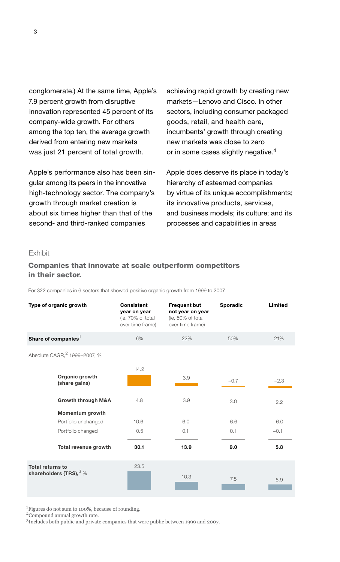conglomerate.) At the same time, Apple's 7.9 percent growth from disruptive innovation represented 45 percent of its company-wide growth. For others among the top ten, the average growth derived from entering new markets was just 21 percent of total growth.

Apple's performance also has been singular among its peers in the innovative high-technology sector. The company's growth through market creation is about six times higher than that of the second- and third-ranked companies

achieving rapid growth by creating new markets—Lenovo and Cisco. In other sectors, including consumer packaged goods, retail, and health care, incumbents' growth through creating new markets was close to zero or in some cases slightly negative.<sup>4</sup>

Apple does deserve its place in today's hierarchy of esteemed companies by virtue of its unique accomplishments; its innovative products, services, and business models; its culture; and its processes and capabilities in areas

## Exhibit

### Companies that innovate at scale outperform competitors<br>. . . . . . xxxxxxxxxxxxxxxxxxxxxxxxxxxxxxxxxxxxxxxxxxxxxxxxx in their sector.

For 322 companies in 6 sectors that showed positive organic growth from 1999 to 2007

| Type of organic growth                               | <b>Consistent</b><br>year on year<br>(ie, 70% of total<br>over time frame) | <b>Frequent but</b><br>not year on year<br>(ie, 50% of total<br>over time frame) | Sporadic | Limited |
|------------------------------------------------------|----------------------------------------------------------------------------|----------------------------------------------------------------------------------|----------|---------|
| Share of companies $1$                               | 6%                                                                         | 22%                                                                              | 50%      | 21%     |
| Absolute CAGR, 2 1999-2007, %                        |                                                                            |                                                                                  |          |         |
| Organic growth<br>(share gains)                      | 14.2                                                                       | 3.9                                                                              | $-0.7$   | $-2.3$  |
| Growth through M&A                                   | 4.8                                                                        | 3.9                                                                              | 3.0      | 2.2     |
| Momentum growth                                      |                                                                            |                                                                                  |          |         |
| Portfolio unchanged                                  | 10.6                                                                       | 6.0                                                                              | 6.6      | 6.0     |
| Portfolio changed                                    | 0.5                                                                        | 0.1                                                                              | 0.1      | $-0.1$  |
| Total revenue growth                                 | 30.1                                                                       | 13.9                                                                             | 9.0      | 5.8     |
| <b>Total returns to</b><br>shareholders (TRS), $3\%$ | 23.5                                                                       | 10.3                                                                             | 7.5      | 5.9     |

1Figures do not sum to 100%, because of rounding.

2Compound annual growth rate.

3Includes both public and private companies that were public between 1999 and 2007.